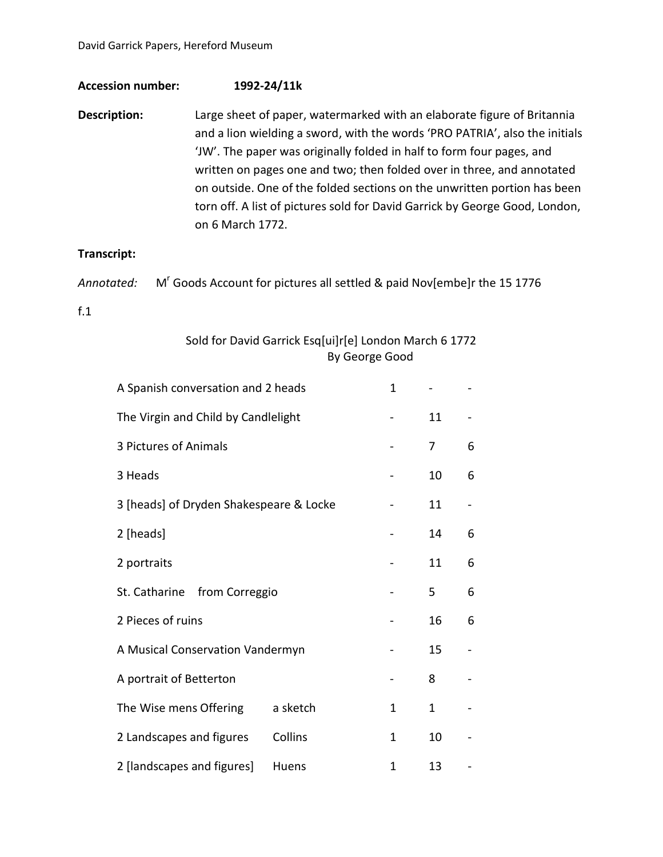## **Accession number: 1992-24/11k**

**Description:** Large sheet of paper, watermarked with an elaborate figure of Britannia and a lion wielding a sword, with the words 'PRO PATRIA', also the initials 'JW'. The paper was originally folded in half to form four pages, and written on pages one and two; then folded over in three, and annotated on outside. One of the folded sections on the unwritten portion has been torn off. A list of pictures sold for David Garrick by George Good, London, on 6 March 1772.

## **Transcript:**

|  | Annotated: M' Goods Account for pictures all settled & paid Nov[embe]r the 15 1776 |
|--|------------------------------------------------------------------------------------|
|--|------------------------------------------------------------------------------------|

## f.1

## Sold for David Garrick Esq[ui]r[e] London March 6 1772 By George Good

| A Spanish conversation and 2 heads      |          | $\mathbf{1}$ |              |   |
|-----------------------------------------|----------|--------------|--------------|---|
| The Virgin and Child by Candlelight     |          |              | 11           |   |
| 3 Pictures of Animals                   |          |              | 7            | 6 |
| 3 Heads                                 |          |              | 10           | 6 |
| 3 [heads] of Dryden Shakespeare & Locke |          |              | 11           |   |
| 2 [heads]                               |          |              | 14           | 6 |
| 2 portraits                             |          | 11           | 6            |   |
| St. Catharine from Correggio            |          |              | 5            | 6 |
| 2 Pieces of ruins                       |          |              | 16           | 6 |
| A Musical Conservation Vandermyn        |          |              | 15           |   |
| A portrait of Betterton                 |          |              | 8            |   |
| The Wise mens Offering                  | a sketch | $\mathbf{1}$ | $\mathbf{1}$ |   |
| 2 Landscapes and figures                | Collins  | 1            | 10           |   |
| 2 [landscapes and figures]              | Huens    | 1            | 13           |   |